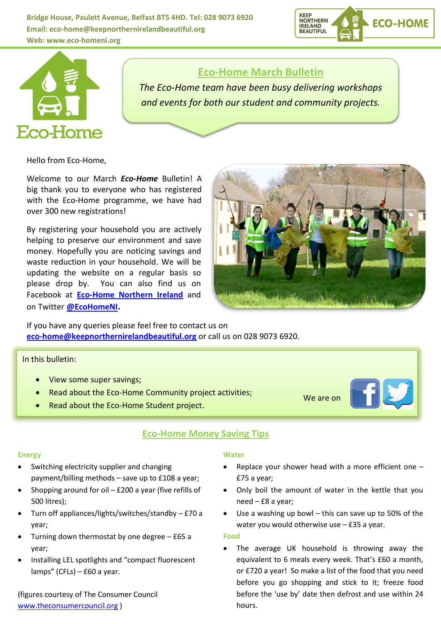**Bridge House, Paulett Avenue, Belfast BT5 4HD. Tel: 028 9073 6920 Email: eco-home@keepnorthernirelandbeautiful.org Web: [www.eco-homeni.org](http://www.eco-homeni.org/)**





# **Eco-Home March Bulletin**

*The Eco-Home team have been busy delivering workshops and events for both our student and community projects.*

Hello from Eco-Home,

Welcome to our March *Eco-Home* Bulletin! A big thank you to everyone who has registered with the Eco-Home programme, we have had over 300 new registrations!

By registering your household you are actively helping to preserve our environment and save money. Hopefully you are noticing savings and waste reduction in your household. We will be updating the website on a regular basis so please drop by. You can also find us on Facebook at **[Eco-Home Northern Ireland](https://www.facebook.com/pages/Eco-Home-Northern-Ireland/404685339602486)** and on Twitter **[@EcoHomeNI](https://twitter.com/EcoHomeNI).**



If you have any queries please feel free to contact us on **[eco-home@keepnorthernirelandbeautiful.org](mailto:eco-home@keepnorthernirelandbeautiful.org)** or call us on 028 9073 6920.

In this bulletin:

- View some super savings;
- Read about the Eco-Home Community project activities;
- Read about the Eco-Home Student project.

### **Eco-Home Money Saving Tips**

#### **Energy**

- Switching electricity supplier and changing payment/billing methods – save up to £108 a year;
- Shopping around for oil £200 a year (five refills of 500 litres);
- Turn off appliances/lights/switches/standby £70 a year;
- Turning down thermostat by one degree £65 a year;
- Installing LEL spotlights and "compact fluorescent lamps" (CFLs) – £60 a year.

(figures courtesy of The Consumer Council [www.theconsumercouncil.org](http://www.theconsumercouncil.org/) )

### **Water**

 Replace your shower head with a more efficient one – £75 a year;

We are on

- Only boil the amount of water in the kettle that you need – £8 a year;
- Use a washing up bowl this can save up to 50% of the water you would otherwise use – £35 a year.

### **Food**

 The average UK household is throwing away the equivalent to 6 meals every week. That's £60 a month, or £720 a year! So make a list of the food that you need before you go shopping and stick to it; freeze food before the 'use by' date then defrost and use within 24 hours.